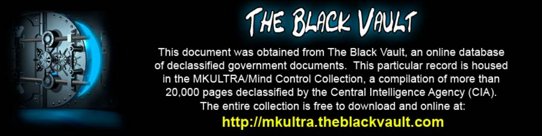

This document was obtained from The Black Vault, an online database of declassified government documents. This particular record is housed in the MKULTRA/Mind Control Collection, a compilation of more than 20,000 pages declassified by the Central Intelligence Agency (CIA). The entire collection is free to download and online at: http://mkultra.theblackvault.com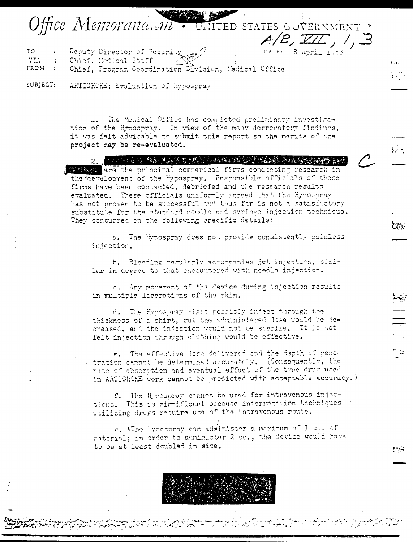## Office Memoranaum . UNITED STATES GUVERNMENT  $A/B, ZII, I, 3$

TO . Deputy Director of Security Chief, Medical Staff VIA. FROM Chief, Program Coordination Division, Medical Office

SUBJECT: ARTICHOME; Evaluation of Hypospray

> 1. The Medical Office has completed preliminary investigation of the Hypospray. In view of the many derrogatory findings, it was felt advicable to submit this report so the merits of the project may be re-evaluated.

2. 一、一、一、一、新的人生, 学习生活, 一、小孩, 一个小孩, 一个小孩, 一个小孩, 一个小孩, 一个小孩 Weight are the principal commerical firms conducting research in the development of the Hypospray. Responsible officials of these firms have been contacted, debriefed and the research results evaluated. These officials uniformly agreed that the Eypospray has not proven to be successful and thus far is not a satisfactory substitute for the standard needle and syringe injection technique. They concurred on the following specific details:

a. The Hynospray dees not provide consistently painless injection.

 $\zeta$ 

**Ag** 

 $\tilde{z}$ 

b. Bleeding regularly accompanies jot injection, similar in degree to that encountered with needle injection.

c. Any movement of the device during injection results in multiple lacerations of the skin.

d. The Hypospray might possibly inject through the thickness of a shirt, but the administered dose would be docreased, and the injection would not be sterile. It is not felt injection through clothing would be effective.

e. The effective dose delivered and the depth of penetration cannot be determined accurately. (Consequently, the rate of absorption and eventual effect of the type drug used in ARTICHORE work cannot be predicted with acceptable accuracy.)

f. The Hypospray cannot be used for intravenous injections. This is significant because interrogation techniques utilizing drugs require use of the intravenous route.

c. Albe Hypospray can administer a maximum of 1 co. of material; in order to administer 2 cc., the device would have to be at least doubled in size.